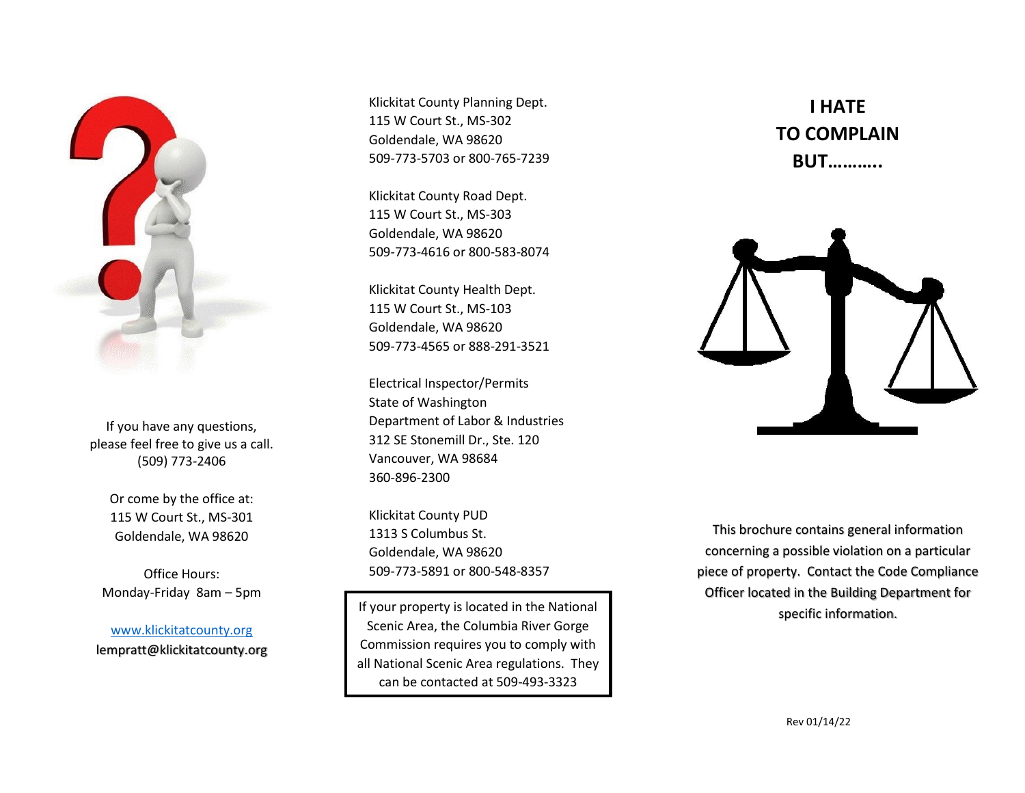

If you have any questions, please feel free to give us a call. (509) 773-2406

> Or come by the office at: 115 W Court St., MS-301 Goldendale, WA 98620

Office Hours: Monday-Friday 8am – 5pm

[www.klickitatcounty.org](http://www.klickitatcounty.org/) lempratt@klickitatcounty.org Klickitat County Planning Dept. 115 W Court St., MS-302 Goldendale, WA 98620 509-773-5703 or 800-765-7239

Klickitat County Road Dept. 115 W Court St., MS-303 Goldendale, WA 98620 509-773-4616 or 800-583-8074

Klickitat County Health Dept. 115 W Court St., MS-103 Goldendale, WA 98620 509-773-4565 or 888-291-3521

Electrical Inspector/Permits State of Washington Department of Labor & Industries 312 SE Stonemill Dr., Ste. 120 Vancouver, WA 98684 360-896-2300

Klickitat County PUD 1313 S Columbus St. Goldendale, WA 98620 509-773-5891 or 800-548-8357

If your property is located in the National property is located in the National property is expecific information. Scenic Area, the Columbia River Gorge Commission requires you to comply with all National Scenic Area regulations. They can be contacted at 509-493-3323

**I HATE TO COMPLAIN BUT………..**



This brochure contains general information concerning a possible violation on a particular piece of property. Contact the Code Compliance Officer located in the Building Department for